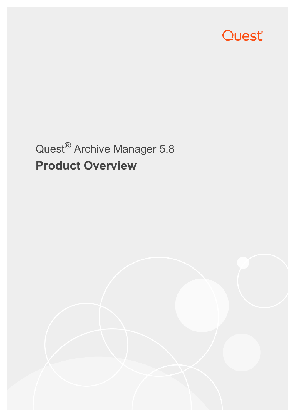

# Quest® Archive Manager 5.8 **Product Overview**

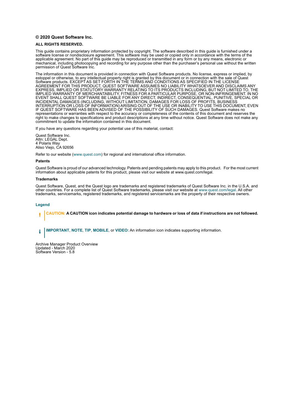#### **© 2020 Quest Software Inc.**

#### **ALL RIGHTS RESERVED.**

This guide contains proprietary information protected by copyright. The software described in this guide is furnished under a software license or nondisclosure agreement. This software may be used or copied only in accordance with the terms of the applicable agreement. No part of this guide may be reproduced or transmitted in any form or by any means, electronic or mechanical, including photocopying and recording for any purpose other than the purchaser's personal use without the written permission of Quest Software Inc.

The information in this document is provided in connection with Quest Software products. No license, express or implied, by estoppel or otherwise, to any intellectual property right is granted by this document or in connection with the sale of Quest<br>Software products. EXCEPT AS SET FORTH IN THE TERMS AND CONDITIONS AS SPECIFIED IN THE LICENSE<br>A EXPRESS, IMPLIED OR STATUTORY WARRANTY RELATING TO ITS PRODUCTS INCLUDING, BUT NOT LIMITED TO, THE IMPLIED WARRANTY OF MERCHANTABILITY, FITNESS FOR A PARTICULAR PURPOSE, OR NON-INFRINGEMENT. IN NO EVENT SHALL QUEST SOFTWARE BE LIABLE FOR ANY DIRECT, INDIRECT, CONSEQUENTIAL, PUNITIVE, SPECIAL OR INCIDENTAL DAMAGES (INCLUDING, WITHOUT LIMITATION, DAMAGES FOR LOSS OF PROFITS, BUSINESS<br>INTERRUPTION OR LOSS OF INFORMATION) ARISING OUT OF THE USE OR INABILITY TO USE THIS DOCUMENT, EVEN IF QUEST SOFTWARE HAS BEEN ADVISED OF THE POSSIBILITY OF SUCH DAMAGES. Quest Software makes no representations or warranties with respect to the accuracy or completeness of the contents of this document and reserves the right to make changes to specifications and product descriptions at any time without notice. Quest Software does not make any commitment to update the information contained in this document.

If you have any questions regarding your potential use of this material, contact:

Quest Software Inc. Attn: LEGAL Dept. 4 Polaris Way Aliso Viejo, CA 92656

Refer to our website [\(www.quest.com](http://www.quest.com)) for regional and international office information.

#### **Patents**

Quest Software is proud of our advanced technology. Patents and pending patents may apply to this product. For the most current information about applicable patents for this product, please visit our website at www.quest.com/legal.

#### **Trademarks**

Quest Software, Quest, and the Quest logo are trademarks and registered trademarks of Quest Software Inc. in the U.S.A. and other countries. For a complete list of Quest Software trademarks, please visit our website at [www.quest.com/legal](http://www.quest.com/legal). All other trademarks, servicemarks, registered trademarks, and registered servicemarks are the property of their respective owners.

#### **Legend**

**CAUTION: A CAUTION icon indicates potential damage to hardware or loss of data if instructions are not followed.** ţ

**IMPORTANT**, **NOTE**, **TIP**, **MOBILE**, or **VIDEO:** An information icon indicates supporting information.i

Archive Manager Product Overview Updated - March 2020 Software Version - 5.8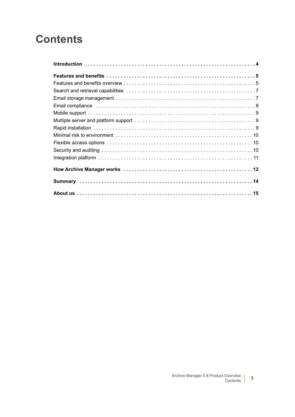#### **Contents**

| Email compliance in the contract of the compliance of the contract of the compliance in the contract of the contract of $8$ |
|-----------------------------------------------------------------------------------------------------------------------------|
|                                                                                                                             |
|                                                                                                                             |
|                                                                                                                             |
|                                                                                                                             |
|                                                                                                                             |
|                                                                                                                             |
|                                                                                                                             |
|                                                                                                                             |
|                                                                                                                             |
|                                                                                                                             |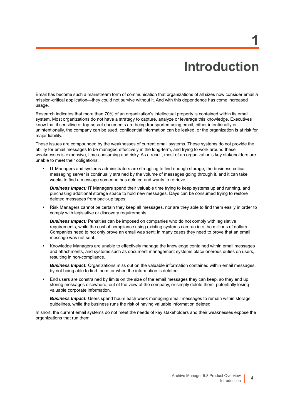# **Introduction**

**1**

<span id="page-3-0"></span>Email has become such a mainstream form of communication that organizations of all sizes now consider email a mission-critical application—they could not survive without it. And with this dependence has come increased usage.

Research indicates that more than 70% of an organization's intellectual property is contained within its email system. Most organizations do not have a strategy to capture, analyze or leverage this knowledge. Executives know that if sensitive or top-secret documents are being transported using email, either intentionally or unintentionally, the company can be sued, confidential information can be leaked, or the organization is at risk for major liability.

These issues are compounded by the weaknesses of current email systems. These systems do not provide the ability for email messages to be managed effectively in the long-term, and trying to work around these weaknesses is expensive, time-consuming and risky. As a result, most of an organization's key stakeholders are unable to meet their obligations:

**•** IT Managers and systems administrators are struggling to find enough storage, the business-critical messaging server is continually strained by the volume of messages going through it, and it can take weeks to find a message someone has deleted and wants to retrieve.

*Business Impact:* IT Managers spend their valuable time trying to keep systems up and running, and purchasing additional storage space to hold new messages. Days can be consumed trying to restore deleted messages from back-up tapes.

**•** Risk Managers cannot be certain they keep all messages, nor are they able to find them easily in order to comply with legislative or discovery requirements.

**Business Impact:** Penalties can be imposed on companies who do not comply with legislative requirements, while the cost of compliance using existing systems can run into the millions of dollars. Companies need to not only prove an email was sent; in many cases they need to prove that an email message was not sent.

**•** Knowledge Managers are unable to effectively manage the knowledge contained within email messages and attachments, and systems such as document management systems place onerous duties on users, resulting in non-compliance.

*Business Impact:* Organizations miss out on the valuable information contained within email messages, by not being able to find them, or when the information is deleted.

**•** End users are constrained by limits on the size of the email messages they can keep, so they end up storing messages elsewhere, out of the view of the company, or simply delete them, potentially losing valuable corporate information.

*Business Impact:* Users spend hours each week managing email messages to remain within storage guidelines, while the business runs the risk of having valuable information deleted.

In short, the current email systems do not meet the needs of key stakeholders and their weaknesses expose the organizations that run them.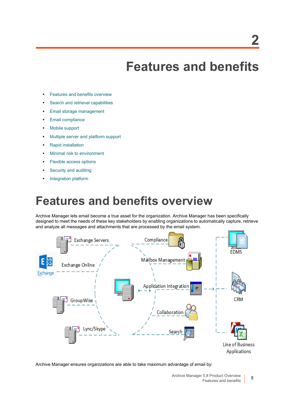## **Features and benefits**

- <span id="page-4-0"></span>**•** [Features and benefits overview](#page-4-1)
- **•** [Search and retrieval capabilities](#page-6-0)
- **•** [Email storage management](#page-6-1)
- **•** [Email compliance](#page-7-0)
- **•** [Mobile support](#page-8-0)
- **•** [Multiple server and platform support](#page-8-1)
- **•** [Rapid installation](#page-8-2)
- **•** [Minimal risk to environment](#page-9-0)
- **•** [Flexible access options](#page-9-1)
- **•** [Security and auditing](#page-9-2)
- **•** [Integration platform](#page-10-0)

#### <span id="page-4-1"></span>**Features and benefits overview**

Archive Manager lets email become a true asset for the organization. Archive Manager has been specifically designed to meet the needs of these key stakeholders by enabling organizations to automatically capture, retrieve and analyze all messages and attachments that are processed by the email system.



Archive Manager ensures organizations are able to take maximum advantage of email by:

**5**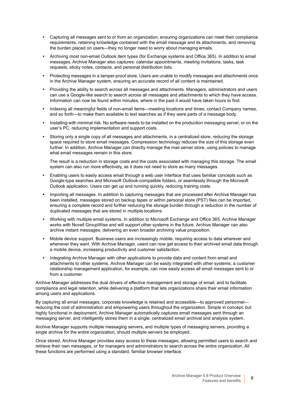- **•** Capturing all messages sent to or from an organization, ensuring organizations can meet their compliance requirements, retaining knowledge contained with the email message and its attachments, and removing the burden placed on users—they no longer need to worry about managing emails.
- **•** Archiving most non-email Outlook item types (for Exchange systems and Office 365). In addition to email messages, Archive Manager also captures: calendar appointments, meeting invitations, tasks, task requests, sticky notes, contacts, and personal distribution lists.
- **•** Protecting messages in a tamper-proof store. Users are unable to modify messages and attachments once in the Archive Manager system, ensuring an accurate record of all content is maintained.
- **•** Providing the ability to search across all messages and attachments. Managers, administrators and users can use a Google-like search to search across all messages and attachments to which they have access. Information can now be found within minutes, where in the past it would have taken hours to find.
- **•** Indexing all meaningful fields of non-email items—meeting locations and times, contact Company names, and so forth—to make them available to text searches as if they were parts of a message body.
- **•** Installing with minimal risk. No software needs to be installed on the production messaging server, or on the user's PC, reducing implementation and support costs.
- **•** Storing only a single copy of all messages and attachments, in a centralized store, reducing the storage space required to store email messages. Compression technology reduces the size of this storage even further. In addition, Archive Manager can directly manage the mail server store, using policies to manage what email messages remain in this store.

The result is a reduction in storage costs and the costs associated with managing this storage. The email system can also run more effectively, as it does not need to store as many messages.

- **•** Enabling users to easily access email through a web user interface that uses familiar concepts such as Google-type searches and Microsoft Outlook-compatible folders, or seamlessly through the Microsoft Outlook application. Users can get up and running quickly, reducing training costs.
- **•** Importing all messages. In addition to capturing messages that are processed after Archive Manager has been installed, messages stored on backup tapes or within personal store (PST) files can be imported, ensuring a complete record and further reducing the storage burden through a reduction in the number of duplicated messages that are stored in multiple locations.
- **•** Working with multiple email systems. In addition to Microsoft Exchange and Office 365, Archive Manager works with Novell GroupWise and will support other systems in the future. Archive Manager can also archive instant messages, delivering an even broader archiving value proposition.
- **•** Mobile device support. Business users are increasingly mobile, requiring access to data wherever and whenever they want. With Archive Manager, users can now get access to their archived email data through a mobile device, increasing productivity and customer satisfaction.
- **•** Integrating Archive Manager with other applications to provide data and content from email and attachments to other systems. Archive Manager can be easily integrated with other systems; a customer relationship management application, for example, can now easily access all email messages sent to or from a customer.

Archive Manager addresses the dual drivers of effective management and storage of email, and to facilitate compliance and legal retention, while delivering a platform that lets organizations share their email information among users and applications.

By capturing all email messages, corporate knowledge is retained and accessible—to approved personnel reducing the cost of administration and empowering users throughout the organization. Simple in concept, but highly functional in deployment, Archive Manager automatically captures email messages sent through an messaging server, and intelligently stores them in a single, centralized email archival and analysis system.

Archive Manager supports multiple messaging servers, and multiple types of messaging servers, providing a single archive for the entire organization, should multiple servers be employed.

Once stored, Archive Manager provides easy access to these messages, allowing permitted users to search and retrieve their own messages, or for managers and administrators to search across the entire organization. All these functions are performed using a standard, familiar browser interface.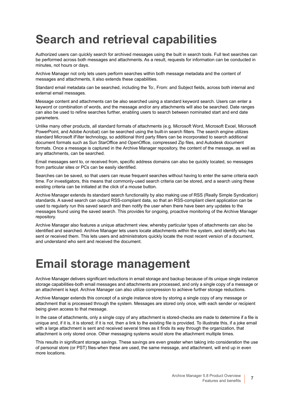### <span id="page-6-0"></span>**Search and retrieval capabilities**

Authorized users can quickly search for archived messages using the built in search tools. Full text searches can be performed across both messages and attachments. As a result, requests for information can be conducted in minutes, not hours or days.

Archive Manager not only lets users perform searches within both message metadata and the content of messages and attachments, it also extends these capabilities.

Standard email metadata can be searched, including the To:, From: and Subject fields, across both internal and external email messages.

Message content and attachments can be also searched using a standard keyword search. Users can enter a keyword or combination of words, and the message and/or any attachments will also be searched. Date ranges can also be used to refine searches further, enabling users to search between nominated start and end date parameters.

Unlike many other products, all standard formats of attachments (e.g. Microsoft Word, Microsoft Excel, Microsoft PowerPoint, and Adobe Acrobat) can be searched using the built-in search filters. The search engine utilizes standard Microsoft iFilter technology, so additional third party filters can be incorporated to search additional document formats such as Sun StarOffice and OpenOffice, compressed Zip files, and Autodesk document formats. Once a message is captured in the Archive Manager repository, the content of the message, as well as any attachments, can be searched.

Email messages sent to, or received from, specific address domains can also be quickly located, so messages from particular sites or PCs can be easily identified.

Searches can be saved, so that users can reuse frequent searches without having to enter the same criteria each time. For investigators, this means that commonly-used search criteria can be stored, and a search using these existing criteria can be initiated at the click of a mouse button.

Archive Manager extends its standard search functionality by also making use of RSS (Really Simple Syndication) standards. A saved search can output RSS-compliant data, so that an RSS-compliant client application can be used to regularly run this saved search and then notify the user when there have been any updates to the messages found using the saved search. This provides for ongoing, proactive monitoring of the Archive Manager repository.

Archive Manager also features a unique attachment view, whereby particular types of attachments can also be identified and searched. Archive Manager lets users locate attachments within the system, and identify who has sent or received them. This lets users and administrators quickly locate the most recent version of a document, and understand who sent and received the document.

#### <span id="page-6-1"></span>**Email storage management**

Archive Manager delivers significant reductions in email storage and backup because of its unique single instance storage capabilities-both email messages and attachments are processed, and only a single copy of a message or an attachment is kept. Archive Manager can also utilize compression to achieve further storage reductions.

Archive Manager extends this concept of a single instance store by storing a single copy of any message or attachment that is processed through the system. Messages are stored only once, with each sender or recipient being given access to that message.

In the case of attachments, only a single copy of any attachment is stored-checks are made to determine if a file is unique and, if it is, it is stored; if it is not, then a link to the existing file is provided. To illustrate this, if a joke email with a large attachment is sent and received several times as it finds its way through the organization, that attachment is only stored once. Other messaging systems would store the attachment multiple times.

This results in significant storage savings. These savings are even greater when taking into consideration the use of personal store (or PST) files-when these are used, the same message, and attachment, will end up in even more locations.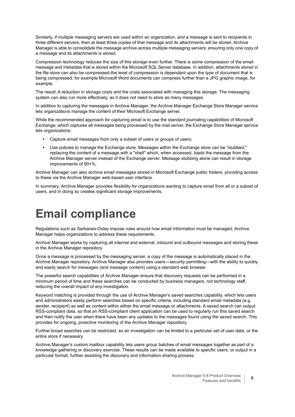Similarly, if multiple messaging servers are used within an organization, and a message is sent to recipients in three different servers, then at least three copies of that message and its attachments will be stored. Archive Manager is able to consolidate the message archive across multiple messaging servers; ensuring only one copy of a message and its attachments is stored.

Compression technology reduces the size of this storage even further. There is some compression of the email message and metadata that is stored within the Microsoft SQL Server database. In addition, attachments stored in the file store can also be compressed-the level of compression is dependant upon the type of document that is being compressed; for example Microsoft Word documents can compress further than a JPG graphic image, for example.

The result: A reduction in storage costs and the costs associated with managing this storage. The messaging system can also run more effectively, as it does not need to store as many messages.

In addition to capturing the messages in Archive Manager, the Archive Manager Exchange Store Manager service lets organizations manage the content of their Microsoft Exchange server.

While the recommended approach for capturing email is to use the standard journaling capabilities of Microsoft Exchange, which captures all messages being processed by the mail server, the Exchange Store Manager service lets organizations:

- **Capture email messages from only a subset of users or groups of users:**
- **•** Use policies to manage the Exchange store. Messages within the Exchange store can be "stubbed," replacing the content of a message with a "shell" which, when accessed, loads the message from the Archive Manager server instead of the Exchange server. Message stubbing alone can result in storage improvements of 90+%.

Archive Manager can also archive email messages stored in Microsoft Exchange public folders, providing access to these via the Archive Manager web-based user interface.

In summary, Archive Manager provides flexibility for organizations wanting to capture email from all or a subset of users, and in doing so creates significant storage improvements.

### <span id="page-7-0"></span>**Email compliance**

Regulations such as Sarbanes-Oxley impose rules around how email information must be managed; Archive Manager helps organizations to address these requirements.

Archive Manager works by capturing all internal and external, inbound and outbound messages and storing these in the Archive Manager repository.

Once a message is processed by the messaging server, a copy of the message is automatically placed in the Archive Manager repository. Archive Manager also provides users—security permitting—with the ability to quickly and easily search for messages (and message content) using a standard web browser.

The powerful search capabilities of Archive Manager ensure that discovery requests can be performed in a minimum period of time and these searches can be conducted by business managers, not technology staff, reducing the overall impact of any investigation.

Keyword matching is provided through the use of Archive Manager's saved searches capability, which lets users and administrators easily perform searches based on specific criteria, including standard email metadata (e.g. sender, recipient) as well as content within either the email message or attachments. A saved search can output RSS-compliant data, so that an RSS-compliant client application can be used to regularly run this saved search and then notify the user when there have been any updates to the messages found using the saved search. This provides for ongoing, proactive monitoring of the Archive Manager repository.

Further broad searches can be restricted, so an investigation can be limited to a particular set of user data, or the entire store if necessary.

Archive Manager's custom mailbox capability lets users group batches of email messages together as part of a knowledge gathering or discovery exercise. These results can be made available to specific users, or output in a particular format, further assisting the discovery and information sharing process.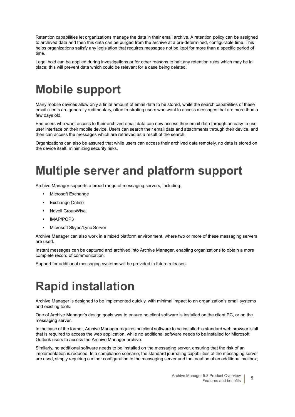Retention capabilities let organizations manage the data in their email archive. A retention policy can be assigned to archived data and then this data can be purged from the archive at a pre-determined, configurable time. This helps organizations satisfy any legislation that requires messages not be kept for more than a specific period of time.

Legal hold can be applied during investigations or for other reasons to halt any retention rules which may be in place; this will prevent data which could be relevant for a case being deleted.

### <span id="page-8-0"></span>**Mobile support**

Many mobile devices allow only a finite amount of email data to be stored, while the search capabilities of these email clients are generally rudimentary, often frustrating users who want to access messages that are more than a few days old.

End users who want access to their archived email data can now access their email data through an easy to use user interface on their mobile device. Users can search their email data and attachments through their device, and then can access the messages which are retrieved as a result of the search.

Organizations can also be assured that while users can access their archived data remotely, no data is stored on the device itself, minimizing security risks.

## <span id="page-8-1"></span>**Multiple server and platform support**

Archive Manager supports a broad range of messaging servers, including:

- **•** Microsoft Exchange
- **•** Exchange Online
- **•** Novell GroupWise
- **•** IMAP/POP3
- **•** Microsoft Skype/Lync Server

Archive Manager can also work in a mixed platform environment, where two or more of these messaging servers are used.

Instant messages can be captured and archived into Archive Manager, enabling organizations to obtain a more complete record of communication.

Support for additional messaging systems will be provided in future releases.

## <span id="page-8-2"></span>**Rapid installation**

Archive Manager is designed to be implemented quickly, with minimal impact to an organization's email systems and existing tools.

One of Archive Manager's design goals was to ensure no client software is installed on the client PC, or on the messaging server.

In the case of the former, Archive Manager requires no client software to be installed: a standard web browser is all that is required to access the web application, while no additional software needs to be installed for Microsoft Outlook users to access the Archive Manager archive.

Similarly, no additional software needs to be installed on the messaging server, ensuring that the risk of an implementation is reduced. In a compliance scenario, the standard journaling capabilities of the messaging server are used, simply requiring a minor configuration to the messaging server and the creation of an additional mailbox;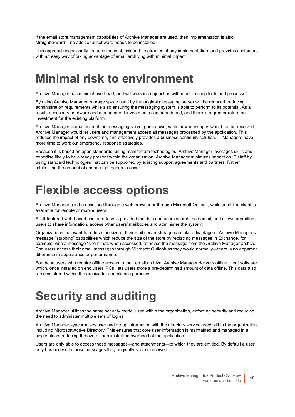if the email store management capabilities of Archive Manager are used, then implementation is also straightforward – no additional software needs to be installed.

This approach significantly reduces the cost, risk and timeframes of any implementation, and provides customers with an easy way of taking advantage of email archiving with minimal impact.

#### <span id="page-9-0"></span>**Minimal risk to environment**

Archive Manager has minimal overhead, and will work in conjunction with most existing tools and processes.

By using Archive Manager, storage space used by the original messaging server will be reduced, reducing administration requirements while also ensuring the messaging system is able to perform to its potential. As a result, necessary hardware and management investments can be reduced, and there is a greater return on investment for the existing platform.

Archive Manager is unaffected if the messaging server goes down; while new messages would not be received, Archive Manager would let users and management access all messages processed by the application. This reduces the impact of any downtime, and effectively provides a business continuity solution. IT Managers have more time to work out emergency response strategies.

Because it is based on open standards, using mainstream technologies, Archive Manager leverages skills and expertise likely to be already present within the organization. Archive Manager minimizes impact on IT staff by using standard technologies that can be supported by existing support agreements and partners, further minimizing the amount of change that needs to occur.

#### <span id="page-9-1"></span>**Flexible access options**

Archive Manager can be accessed through a web browser or through Microsoft Outlook, while an offline client is available for remote or mobile users.

A full-featured web-based user interface is provided that lets end users search their email, and allows permitted users to share information, access other users' mailboxes and administer the system.

Organizations that want to reduce the size of their mail server storage can take advantage of Archive Manager's message "stubbing" capabilities which reduce the size of the store by replacing messages in Exchange, for example, with a message "shell" that, when accessed, retrieves the message from the Archive Manager archive. End users access their email messages through Microsoft Outlook as they would normally—there is no apparent difference in appearance or performance.

For those users who require offline access to their email archive, Archive Manager delivers offline client software which, once installed on end users' PCs, lets users store a pre-determined amount of data offline. This data also remains stored within the archive for compliance purposes.

## <span id="page-9-2"></span>**Security and auditing**

Archive Manager utilizes the same security model used within the organization, enforcing security and reducing the need to administer multiple sets of logins.

Archive Manager synchronizes user and group information with the directory service used within the organization, including Microsoft Active Directory. This ensures that core user information is maintained and managed in a single place, reducing the overall administration overhead of the application.

Users are only able to access those messages—and attachments—to which they are entitled. By default a user only has access to those messages they originally sent or received.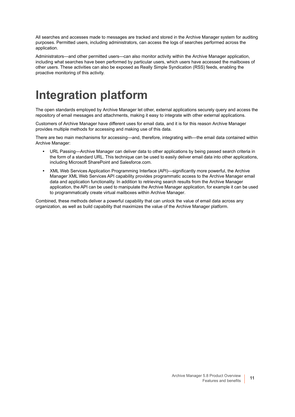All searches and accesses made to messages are tracked and stored in the Archive Manager system for auditing purposes. Permitted users, including administrators, can access the logs of searches performed across the application.

Administrators—and other permitted users—can also monitor activity within the Archive Manager application, including what searches have been performed by particular users, which users have accessed the mailboxes of other users. These activities can also be exposed as Really Simple Syndication (RSS) feeds, enabling the proactive monitoring of this activity.

## <span id="page-10-0"></span>**Integration platform**

The open standards employed by Archive Manager let other, external applications securely query and access the repository of email messages and attachments, making it easy to integrate with other external applications.

Customers of Archive Manager have different uses for email data, and it is for this reason Archive Manager provides multiple methods for accessing and making use of this data.

There are two main mechanisms for accessing—and, therefore, integrating with—the email data contained within Archive Manager:

- **•** URL Passing—Archive Manager can deliver data to other applications by being passed search criteria in the form of a standard URL. This technique can be used to easily deliver email data into other applications, including Microsoft SharePoint and Salesforce.com.
- **•** XML Web Services Application Programming Interface (API)—significantly more powerful, the Archive Manager XML Web Services API capability provides programmatic access to the Archive Manager email data and application functionality. In addition to retrieving search results from the Archive Manager application, the API can be used to manipulate the Archive Manager application, for example it can be used to programmatically create virtual mailboxes within Archive Manager.

Combined, these methods deliver a powerful capability that can unlock the value of email data across any organization, as well as build capability that maximizes the value of the Archive Manager platform.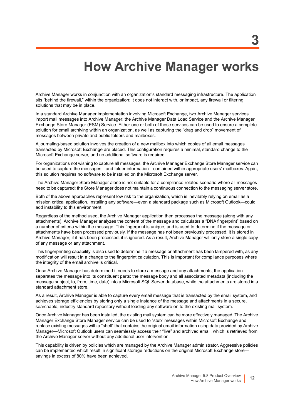### **How Archive Manager works**

<span id="page-11-0"></span>Archive Manager works in conjunction with an organization's standard messaging infrastructure. The application sits "behind the firewall," within the organization; it does not interact with, or impact, any firewall or filtering solutions that may be in place.

In a standard Archive Manager implementation involving Microsoft Exchange, two Archive Manager services import mail messages into Archive Manager: the Archive Manager Data Load Service and the Archive Manager Exchange Store Manager (ESM) Service. Either one or both of these services can be used to ensure a complete solution for email archiving within an organization, as well as capturing the "drag and drop" movement of messages between private and public folders and mailboxes.

A journaling-based solution involves the creation of a new mailbox into which copies of all email messages transacted by Microsoft Exchange are placed. This configuration requires a minimal, standard change to the Microsoft Exchange server, and no additional software is required.

For organizations not wishing to capture all messages, the Archive Manager Exchange Store Manager service can be used to capture the messages—and folder information—contained within appropriate users' mailboxes. Again, this solution requires no software to be installed on the Microsoft Exchange server.

The Archive Manager Store Manager alone is not suitable for a compliance-related scenario where all messages need to be captured: the Store Manager does not maintain a continuous connection to the messaging server store.

Both of the above approaches represent low risk to the organization, which is inevitably relying on email as a mission critical application. Installing any software—even a standard package such as Microsoft Outlook—could add instability to this environment.

Regardless of the method used, the Archive Manager application then processes the message (along with any attachments). Archive Manager analyzes the content of the message and calculates a "DNA fingerprint" based on a number of criteria within the message. This fingerprint is unique, and is used to determine if the message or attachments have been processed previously. If the message has not been previously processed, it is stored in Archive Manager; if it has been processed, it is ignored. As a result, Archive Manager will only store a single copy of any message or any attachment.

This fingerprinting capability is also used to determine if a message or attachment has been tampered with, as any modification will result in a change to the fingerprint calculation. This is important for compliance purposes where the integrity of the email archive is critical.

Once Archive Manager has determined it needs to store a message and any attachments, the application separates the message into its constituent parts; the message body and all associated metadata (including the message subject, to, from, time, date) into a Microsoft SQL Server database, while the attachments are stored in a standard attachment store.

As a result, Archive Manager is able to capture every email message that is transacted by the email system, and achieves storage efficiencies by storing only a single instance of the message and attachments in a secure, searchable, industry standard repository without loading any software on to the existing mail system.

Once Archive Manager has been installed, the existing mail system can be more effectively managed. The Archive Manager Exchange Store Manager service can be used to "stub" messages within Microsoft Exchange and replace existing messages with a "shell" that contains the original email information using data provided by Archive Manager—Microsoft Outlook users can seamlessly access their "live" and archived email, which is retrieved from the Archive Manager server without any additional user intervention.

This capability is driven by policies which are managed by the Archive Manager administrator. Aggressive policies can be implemented which result in significant storage reductions on the original Microsoft Exchange store savings in excess of 80% have been achieved.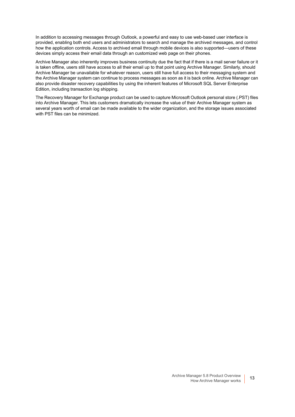In addition to accessing messages through Outlook, a powerful and easy to use web-based user interface is provided, enabling both end users and administrators to search and manage the archived messages, and control how the application controls. Access to archived email through mobile devices is also supported—users of these devices simply access their email data through an customized web page on their phones.

Archive Manager also inherently improves business continuity due the fact that if there is a mail server failure or it is taken offline, users still have access to all their email up to that point using Archive Manager. Similarly, should Archive Manager be unavailable for whatever reason, users still have full access to their messaging system and the Archive Manager system can continue to process messages as soon as it is back online. Archive Manager can also provide disaster recovery capabilities by using the inherent features of Microsoft SQL Server Enterprise Edition, including transaction log shipping.

The Recovery Manager for Exchange product can be used to capture Microsoft Outlook personal store (.PST) files into Archive Manager. This lets customers dramatically increase the value of their Archive Manager system as several years worth of email can be made available to the wider organization, and the storage issues associated with PST files can be minimized.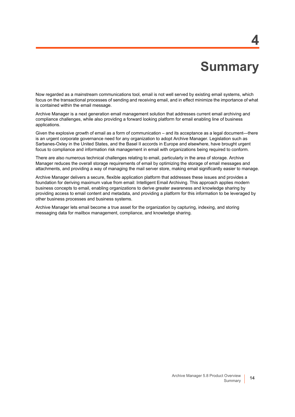## **Summary**

**4**

<span id="page-13-0"></span>Now regarded as a mainstream communications tool, email is not well served by existing email systems, which focus on the transactional processes of sending and receiving email, and in effect minimize the importance of what is contained within the email message.

Archive Manager is a next generation email management solution that addresses current email archiving and compliance challenges, while also providing a forward looking platform for email enabling line of business applications.

Given the explosive growth of email as a form of communication – and its acceptance as a legal document—there is an urgent corporate governance need for any organization to adopt Archive Manager. Legislation such as Sarbanes-Oxley in the United States, and the Basel II accords in Europe and elsewhere, have brought urgent focus to compliance and information risk management in email with organizations being required to conform.

There are also numerous technical challenges relating to email, particularly in the area of storage. Archive Manager reduces the overall storage requirements of email by optimizing the storage of email messages and attachments, and providing a way of managing the mail server store, making email significantly easier to manage.

Archive Manager delivers a secure, flexible application platform that addresses these issues and provides a foundation for deriving maximum value from email: Intelligent Email Archiving. This approach applies modern business concepts to email, enabling organizations to derive greater awareness and knowledge sharing by providing access to email content and metadata, and providing a platform for this information to be leveraged by other business processes and business systems.

Archive Manager lets email become a true asset for the organization by capturing, indexing, and storing messaging data for mailbox management, compliance, and knowledge sharing.